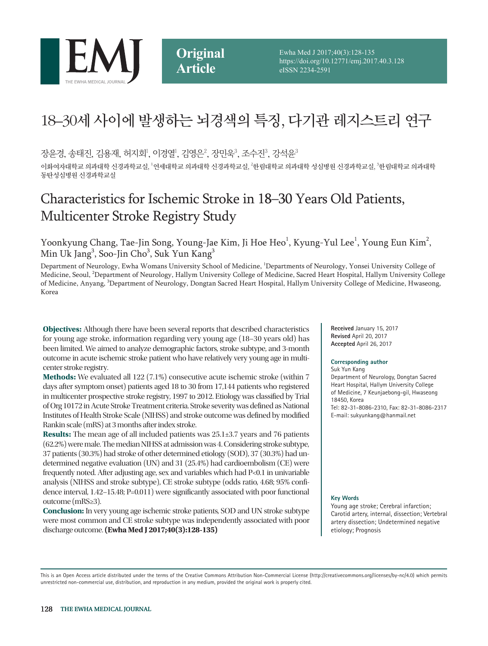

Ewha Med J 2017;40(3):128-135 https://doi.org/10.12771/emj.2017.40.3.128 eISSN 2234-2591

# 18–30세 사이에 발생하는 뇌경색의 특징, 다기관 레지스트리 연구

장윤경, 송태진, 김용재, 허지회<sup>!</sup>, 이경열<sup>!</sup>, 김영은<sup>2</sup>, 장민욱<sup>3</sup>, 조수진<sup>3</sup>, 강석윤<sup>3</sup>

이화여자대학교 의과대학 신경과학교실, '연세대학교 의과대학 신경과학교실, '한림대학교 의과대학 성심병원 신경과학교실, '한림대학교 의과대학 동탄성심병원 신경과학교실

## Characteristics for Ischemic Stroke in 18–30 Years Old Patients, Multicenter Stroke Registry Study

Yoonkyung Chang, Tae-Jin Song, Young-Jae Kim, Ji Hoe Heo<sup>1</sup>, Kyung-Yul Lee<sup>1</sup>, Young Eun Kim<sup>2</sup>, Min Uk Jang<sup>3</sup>, Soo-Jin Cho<sup>3</sup>, Suk Yun Kang<sup>3</sup>

Department of Neurology, Ewha Womans University School of Medicine, <sup>1</sup>Departments of Neurology, Yonsei University College of Medicine, Seoul, <sup>2</sup>Department of Neurology, Hallym University College of Medicine, Sacred Heart Hospital, Hallym University College of Medicine, Anyang, <sup>3</sup>Department of Neurology, Dongtan Sacred Heart Hospital, Hallym University College of Medicine, Hwaseong, Korea

**Objectives:** Although there have been several reports that described characteristics for young age stroke, information regarding very young age (18–30 years old) has been limited. We aimed to analyze demographic factors, stroke subtype, and 3-month outcome in acute ischemic stroke patient who have relatively very young age in multicenter stroke registry.

**Methods:** We evaluated all 122 (7.1%) consecutive acute ischemic stroke (within 7 days after symptom onset) patients aged 18 to 30 from 17,144 patients who registered in multicenter prospective stroke registry, 1997 to 2012. Etiology was classified by Trial of Org 10172 in Acute Stroke Treatment criteria. Stroke severity was defined as National Institutes of Health Stroke Scale (NIHSS) and stroke outcome was defined by modified Rankin scale (mRS) at 3 months after index stroke.

**Results:** The mean age of all included patients was 25.1±3.7 years and 76 patients (62.2%) were male. The median NIHSS at admission was 4. Considering stroke subtype, 37 patients (30.3%) had stroke of other determined etiology (SOD), 37 (30.3%) had undetermined negative evaluation (UN) and 31 (25.4%) had cardioembolism (CE) were frequently noted. After adjusting age, sex and variables which had P<0.1 in univariable analysis (NIHSS and stroke subtype), CE stroke subtype (odds ratio, 4.68; 95% confidence interval, 1.42–15.48; P=0.011) were significantly associated with poor functional outcome (mRS≥3).

**Conclusion:** In very young age ischemic stroke patients, SOD and UN stroke subtype were most common and CE stroke subtype was independently associated with poor discharge outcome. **(Ewha Med J 2017;40(3):128-135)**

**Received** January 15, 2017 **Revised** April 20, 2017 **Accepted** April 26, 2017

#### **Corresponding author**

Suk Yun Kang Department of Neurology, Dongtan Sacred Heart Hospital, Hallym University College of Medicine, 7 Keunjaebong-gil, Hwaseong 18450, Korea Tel: 82-31-8086-2310, Fax: 82-31-8086-2317 E-mail: sukyunkang@hanmail.net

#### **Key Words**

Young age stroke; Cerebral infarction; Carotid artery, internal, dissection; Vertebral artery dissection; Undetermined negative etiology; Prognosis

This is an Open Access article distributed under the terms of the Creative Commons Attribution Non-Commercial License (http://creativecommons.org/licenses/by-nc/4.0) which permits unrestricted non-commercial use, distribution, and reproduction in any medium, provided the original work is properly cited.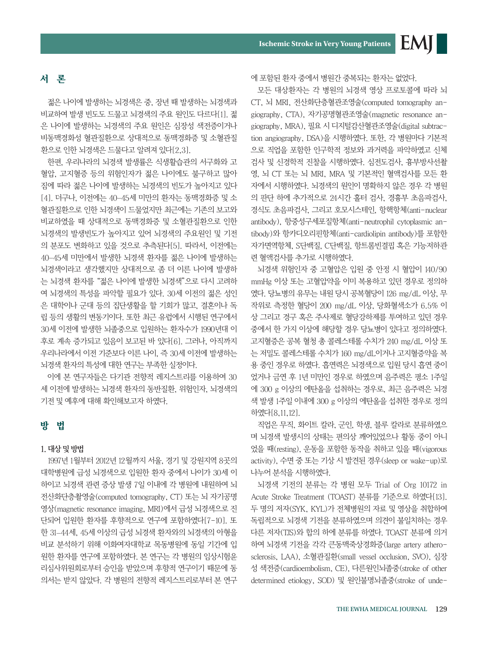EMI

## 서 론

젊은 나이에 발생하는 뇌경색은 중, 장년 때 발생하는 뇌경색과 비교하여 발생 빈도도 드물고 뇌경색의 주요 원인도 다르다[1]. 젊 은 나이에 발생하는 뇌경색의 주요 원인은 심장성 색전증이거나 비동맥경화성 혈관질환으로 상대적으로 동맥경화증 및 소혈관질 환으로 인한 뇌경색은 드물다고 알려져 있다[2,3].

한편, 우리나라의 뇌경색 발생률은 식생활습관의 서구화와 고 혈압, 고지혈증 등의 위험인자가 젊은 나이에도 불구하고 많아 짐에 따라 젊은 나이에 발생하는 뇌경색의 빈도가 높아지고 있다 [4]. 더구나, 이전에는 40–45세 미만의 환자는 동맥경화증 및 소 혈관질환으로 인한 뇌경색이 드물었지만 최근에는 기존의 보고와 비교하였을 때 상대적으로 동맥경화증 및 소혈관질환으로 인한 뇌경색의 발생빈도가 높아지고 있어 뇌경색의 주요원인 및 기전 의 분포도 변화하고 있을 것으로 추측된다[5]. 따라서, 이전에는 40–45세 미만에서 발생한 뇌경색 환자를 젊은 나이에 발생하는 뇌경색이라고 생각했지만 상대적으로 좀 더 이른 나이에 발생하 는 뇌경색 환자를 "젊은 나이에 발생한 뇌경색"으로 다시 고려하 여 뇌경색의 특성을 파악할 필요가 있다. 30세 이전의 젊은 성인 은 대학이나 군대 등의 집단생활을 할 기회가 많고, 결혼이나 독 립 등의 생활의 변동기이다. 또한 최근 유럽에서 시행된 연구에서 30세 이전에 발생한 뇌졸중으로 입원하는 환자수가 1990년대 이 후로 계속 증가되고 있음이 보고된 바 있다[6]. 그러나, 아직까지 우리나라에서 이전 기준보다 이른 나이, 즉 30세 이전에 발생하는 뇌경색 환자의 특성에 대한 연구는 부족한 실정이다.

이에 본 연구자들은 다기관 전향적 레지스트리를 이용하여 30 세 이전에 발생하는 뇌경색 환자의 동반질환, 위험인자, 뇌경색의 기전 및 예후에 대해 확인해보고자 하였다.

## 방 법

#### 1. 대상 및 방법

1997년 1월부터 2012년 12월까지 서울, 경기 및 강원지역 8곳의 대학병원에 급성 뇌경색으로 입원한 환자 중에서 나이가 30세 이 하이고 뇌경색 관련 증상 발생 7일 이내에 각 병원에 내원하여 뇌 전산화단층촬영술(computed tomography, CT) 또는 뇌 자기공명 영상(magnetic resonance imaging, MRI)에서 급성 뇌경색으로 진 단되어 입원한 환자를 후향적으로 연구에 포함하였다[7-10]. 또 한 31–44세, 45세 이상의 급성 뇌경색 환자와의 뇌경색의 아형을 비교 분석하기 위해 이화여자대학교 목동병원에 동일 기간에 입 원한 환자를 연구에 포함하였다. 본 연구는 각 병원의 임상시험윤 리심사위원회로부터 승인을 받았으며 후향적 연구이기 때문에 동 의서는 받지 않았다. 각 병원의 전향적 레지스트리로부터 본 연구 에 포함된 환자 중에서 병원간 중복되는 환자는 없었다.

모든 대상환자는 각 병원의 뇌경색 영상 프로토콜에 따라 뇌 CT, 뇌 MRI, 전산화단층혈관조영술(computed tomography angiography, CTA), 자기공명혈관조영술(magnetic resonance angiography, MRA), 필요 시 디지털감산혈관조영술(digital subtraction angiography, DSA)을 시행하였다. 또한, 각 병원마다 기본적 으로 직업을 포함한 인구학적 정보와 과거력을 파악하였고 신체 검사 및 신경학적 진찰을 시행하였다. 심전도검사, 흉부방사선촬 영, 뇌 CT 또는 뇌 MRI, MRA 및 기본적인 혈액검사를 모든 환 자에서 시행하였다. 뇌경색의 원인이 명확하지 않은 경우 각 병원 의 판단 하에 추가적으로 24시간 홀터 검사, 경흉부 초음파검사, 경식도 초음파검사, 그리고 호모시스테인, 항핵항체(anti-nuclear antibody), 항중성구세포질항체(anti-neutrophil cytoplasmic antibody)와 항카디오리핀항체(anti-cardiolipin antibody)를 포함한 자가면역항체, S단백질, C단백질, 항트롬빈결핍 혹은 기능저하관 련 혈액검사를 추가로 시행하였다.

뇌경색 위험인자 중 고혈압은 입원 중 안정 시 혈압이 140/90 mmHg 이상 또는 고혈압약을 이미 복용하고 있던 경우로 정의하 였다. 당뇨병의 유무는 내원 당시 공복혈당이 126 mg/dL 이상, 무 작위로 측정한 혈당이 200 mg/dL 이상, 당화혈색소가 6.5% 이 상 그리고 경구 혹은 주사제로 혈당강하제를 투여하고 있던 경우 중에서 한 가지 이상에 해당할 경우 당뇨병이 있다고 정의하였다. 고지혈증은 공복 혈청 총 콜레스테롤 수치가 240 mg/dL 이상 또 는 저밀도 콜레스테롤 수치가 160 mg/dL이거나 고지혈증약을 복 용 중인 경우로 하였다. 흡연력은 뇌경색으로 입원 당시 흡연 중이 었거나 금연 후 1년 미만인 경우로 하였으며 음주력은 평소 1주일 에 300 g 이상의 에탄올을 섭취하는 경우로, 최근 음주력은 뇌경 색 발생 1주일 이내에 300 g 이상의 에탄올을 섭취한 경우로 정의 하였다[8,11,12].

직업은 무직, 화이트 칼라, 군인, 학생, 블루 칼라로 분류하였으 며 뇌경색 발생시의 상태는 편의상 깨어있었으나 활동 중이 아니 었을 때(resting), 운동을 포함한 동작을 취하고 있을 때(vigorous activity), 수면 중 또는 기상 시 발견된 경우(sleep or wake-up)로 나누어 분석을 시행하였다.

뇌경색 기전의 분류는 각 병원 모두 Trial of Org 10172 in Acute Stroke Treatment (TOAST) 분류를 기준으로 하였다[13]. 두 명의 저자(SYK, KYL)가 전체병원의 자료 및 영상을 취합하여 독립적으로 뇌경색 기전을 분류하였으며 의견이 불일치하는 경우 다른 저자(TJS)와 합의 하에 분류를 하였다. TOAST 분류에 의거 하여 뇌경색 기전을 각각 큰동맥죽상경화증(large artery atherosclerosis, LAA), 소혈관질환(small vessel occlusion, SVO), 심장 성 색전증(cardioembolism, CE), 다른원인뇌졸중(stroke of other determined etiology, SOD) 및 원인불명뇌졸중(stroke of unde-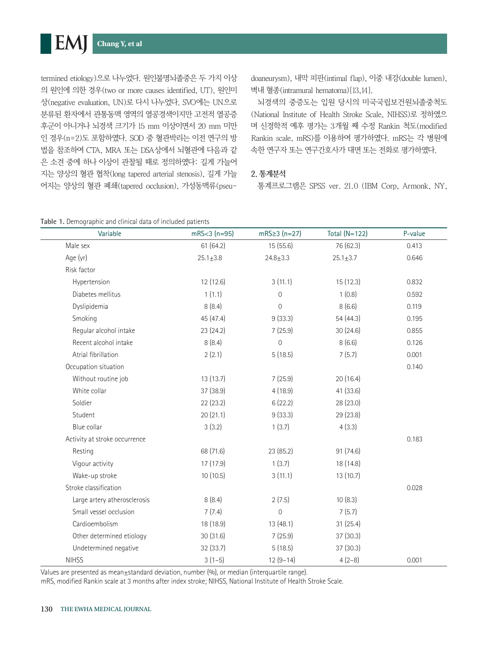termined etiology)으로 나누었다. 원인불명뇌졸중은 두 가지 이상 의 원인에 의한 경우(two or more causes identified, UT), 원인미 상(negative evaluation, UN)로 다시 나누었다. SVO에는 UN으로 분류된 환자에서 관통동맥 영역의 열공경색이지만 고전적 열공증 후군이 아니거나 뇌경색 크기가 15 mm 이상이면서 20 mm 미만 인 경우(n=2)도 포함하였다. SOD 중 혈관박리는 이전 연구의 방 법을 참조하여 CTA, MRA 또는 DSA상에서 뇌혈관에 다음과 같 은 소견 중에 하나 이상이 관찰될 때로 정의하였다: 길게 가늘어 지는 양상의 혈관 협착(long tapered arterial stenosis), 길게 가늘 어지는 양상의 혈관 폐쇄(tapered occlusion), 가성동맥류(pseudoaneurysm), 내막 피판(intimal flap), 이중 내강(double lumen), 벽내 혈종(intramural hematoma)[13,14].

뇌경색의 중증도는 입원 당시의 미국국립보건원뇌졸중척도 (National Institute of Health Stroke Scale, NIHSS)로 정하였으 며 신경학적 예후 평가는 3개월 째 수정 Rankin 척도(modified Rankin scale, mRS)를 이용하여 평가하였다. mRS는 각 병원에 속한 연구자 또는 연구간호사가 대면 또는 전화로 평가하였다.

## 2. 통계분석

통계프로그램은 SPSS ver. 21.0 (IBM Corp, Armonk, NY,

|  |  |  |  |  | Table 1. Demographic and clinical data of included patients |  |
|--|--|--|--|--|-------------------------------------------------------------|--|
|--|--|--|--|--|-------------------------------------------------------------|--|

| Variable                      | $mRS < 3 (n=95)$ | $mRS \ge 3 (n=27)$ | Total $(N=122)$ | P-value |
|-------------------------------|------------------|--------------------|-----------------|---------|
| Male sex                      | 61(64.2)         | 15 (55.6)          | 76 (62.3)       | 0.413   |
| Age (yr)                      | $25.1 \pm 3.8$   | $24.8 + 3.3$       | $25.1 \pm 3.7$  | 0.646   |
| Risk factor                   |                  |                    |                 |         |
| Hypertension                  | 12 (12.6)        | 3(11.1)            | 15(12.3)        | 0.832   |
| Diabetes mellitus             | 1(1.1)           | 0                  | 1(0.8)          | 0.592   |
| Dyslipidemia                  | 8(8.4)           | $\mathbf 0$        | 8(6.6)          | 0.119   |
| Smoking                       | 45 (47.4)        | 9(33.3)            | 54 (44.3)       | 0.195   |
| Regular alcohol intake        | 23 (24.2)        | 7(25.9)            | 30(24.6)        | 0.855   |
| Recent alcohol intake         | 8(8.4)           | $\mathbf 0$        | 8(6.6)          | 0.126   |
| Atrial fibrillation           | 2(2.1)           | 5(18.5)            | 7(5.7)          | 0.001   |
| Occupation situation          |                  |                    |                 | 0.140   |
| Without routine job           | 13 (13.7)        | 7(25.9)            | 20 (16.4)       |         |
| White collar                  | 37 (38.9)        | 4(18.9)            | 41 (33.6)       |         |
| Soldier                       | 22(23.2)         | 6(22.2)            | 28 (23.0)       |         |
| Student                       | 20(21.1)         | 9(33.3)            | 29 (23.8)       |         |
| Blue collar                   | 3(3.2)           | 1(3.7)             | 4(3.3)          |         |
| Activity at stroke occurrence |                  |                    |                 | 0.183   |
| Resting                       | 68 (71.6)        | 23 (85.2)          | 91 (74.6)       |         |
| Vigour activity               | 17 (17.9)        | 1(3.7)             | 18 (14.8)       |         |
| Wake-up stroke                | 10(10.5)         | 3(11.1)            | 13(10.7)        |         |
| Stroke classification         |                  |                    |                 | 0.028   |
| Large artery atherosclerosis  | 8(8.4)           | 2(7.5)             | 10(8.3)         |         |
| Small vessel occlusion        | 7(7.4)           | $\overline{0}$     | 7(5.7)          |         |
| Cardioembolism                | 18 (18.9)        | 13 (48.1)          | 31(25.4)        |         |
| Other determined etiology     | 30(31.6)         | 7(25.9)            | 37(30.3)        |         |
| Undetermined negative         | 32 (33.7)        | 5(18.5)            | 37 (30.3)       |         |
| <b>NIHSS</b>                  | $3(1-5)$         | $12(9-14)$         | $4(2-8)$        | 0.001   |

Values are presented as mean±standard deviation, number (%), or median (interquartile range).

mRS, modified Rankin scale at 3 months after index stroke; NIHSS, National Institute of Health Stroke Scale.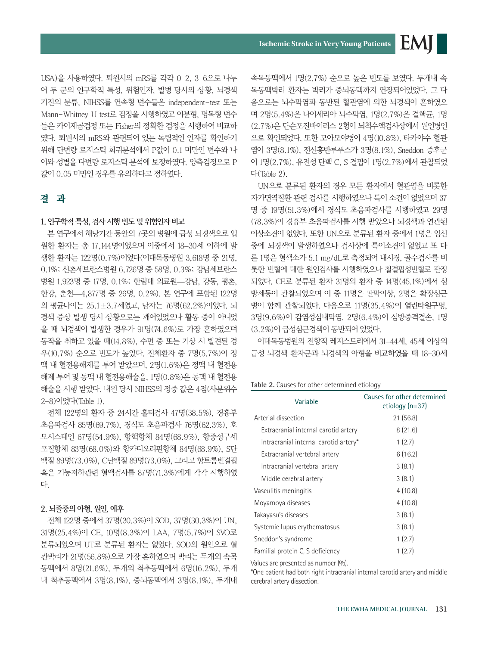USA)을 사용하였다. 퇴원시의 mRS를 각각 0–2, 3–6으로 나누 어 두 군의 인구학적 특성, 위험인자, 발병 당시의 상황, 뇌경색 기전의 분류, NIHSS를 연속형 변수들은 independent-test 또는 Mann-Whitney U test로 검정을 시행하였고 이분형, 명목형 변수 들은 카이제곱검정 또는 Fisher의 정확한 검정을 시행하여 비교하 였다. 퇴원시의 mRS와 관련되어 있는 독립적인 인자를 확인하기 위해 단변량 로지스틱 회귀분석에서 P값이 0.1 미만인 변수와 나 이와 성별을 다변량 로지스틱 분석에 보정하였다. 양측검정으로 P 값이 0.05 미만인 경우를 유의하다고 정하였다.

## 결 과

## 1. 인구학적 특성, 검사 시행 빈도 및 위험인자 비교

본 연구에서 해당기간 동안의 7곳의 병원에 급성 뇌경색으로 입 원한 환자는 총 17,144명이었으며 이중에서 18–30세 이하에 발 생한 환자는 122명(0.7%)이었다(이대목동병원 3,618명 중 21명, 0.1%; 신촌세브란스병원 6,726명 중 58명, 0.3%; 강남세브란스 병원 1,923명 중 17명, 0.1%; 한림대 의료원—강남, 강동, 평촌, 한강, 춘천—4,877명 중 26명, 0.2%). 본 연구에 포함된 122명 의 평균나이는 25.1±3.7세였고, 남자는 76명(62.2%)이었다. 뇌 경색 증상 발생 당시 상황으로는 깨어있었으나 활동 중이 아니었 을 때 뇌경색이 발생한 경우가 91명(74.6%)로 가장 흔하였으며 동작을 취하고 있을 때(14.8%), 수면 중 또는 기상 시 발견된 경 우(10.7%) 순으로 빈도가 높았다. 전체환자 중 7명(5.7%)이 정 맥 내 혈전용해제를 투여 받았으며, 2명(1.6%)은 정맥 내 혈전용 해제 투여 및 동맥 내 혈전용해술을, 1명(0.8%)은 동맥 내 혈전용 해술을 시행 받았다. 내원 당시 NIHSS의 정중 값은 4점(사분위수 2–8)이었다(Table 1).

전체 122명의 환자 중 24시간 홀터검사 47명(38.5%), 경흉부 초음파검사 85명(69.7%), 경식도 초음파검사 76명(62.3%), 호 모시스테인 67명(54.9%), 항핵항체 84명(68.9%), 항중성구세 포질항체 83명(68.0%)와 항카디오리핀항체 84명(68.9%), S단 백질 89명(73.0%), C단백질 89명(73.0%), 그리고 항트롬빈결핍 혹은 기능저하관련 혈액검사를 87명(71.3%)에게 각각 시행하였 다.

#### 2. 뇌졸중의 아형, 원인, 예후

전체 122명 중에서 37명(30.3%)이 SOD, 37명(30.3%)이 UN, 31명(25.4%)이 CE, 10명(8.3%)이 LAA, 7명(5.7%)이 SVO로 분류되었으며 UT로 분류된 환자는 없었다. SOD의 원인으로 혈 관박리가 21명(56.8%)으로 가장 흔하였으며 박리는 두개외 속목 동맥에서 8명(21.6%), 두개외 척추동맥에서 6명(16.2%), 두개 내 척추동맥에서 3명(8.1%), 중뇌동맥에서 3명(8.1%), 두개내 속목동맥에서 1명(2.7%) 순으로 높은 빈도를 보였다. 두개내 속 목동맥박리 환자는 박리가 중뇌동맥까지 연장되어있었다. 그 다 음으로는 뇌수막염과 동반된 혈관염에 의한 뇌경색이 흔하였으 며 2명(5.4%)은 나이세리아 뇌수막염, 1명(2.7%)은 결핵균, 1명 (2.7%)은 단순포진바이러스 2형이 뇌척수액검사상에서 원인병인 으로 확인되었다. 또한 모아모야병이 4명(10.8%), 타카야수 혈관 염이 3명(8.1%), 전신홍반루푸스가 3명(8.1%), Sneddon 증후군 이 1명(2.7%), 유전성 단백 C, S 결핍이 1명(2.7%)에서 관찰되었 다(Table 2).

EMI

UN으로 분류된 환자의 경우 모든 환자에서 혈관염을 비롯한 자가면역질환 관련 검사를 시행하였으나 특이 소견이 없었으며 37 명 중 19명(51.3%)에서 경식도 초음파검사를 시행하였고 29명 (78.3%)이 경흉부 초음파검사를 시행 받았으나 뇌경색과 연관된 이상소견이 없었다. 또한 UN으로 분류된 환자 중에서 1명은 임신 중에 뇌경색이 발생하였으나 검사상에 특이소견이 없었고 또 다 른 1명은 혈색소가 5.1 mg/dL로 측정되어 내시경, 골수검사를 비 롯한 빈혈에 대한 원인검사를 시행하였으나 철결핍성빈혈로 판정 되었다. CE로 분류된 환자 31명의 환자 중 14명(45.1%)에서 심 방세동이 관찰되었으며 이 중 11명은 판막이상, 2명은 확장심근 병이 함께 관찰되었다. 다음으로 11명(35.4%)이 열린타원구멍, 3명(9.6%)이 감염성심내막염, 2명(6.4%)이 심방중격결손, 1명 (3.2%)이 급성심근경색이 동반되어 있었다.

이대목동병원의 전향적 레지스트리에서 31–44세, 45세 이상의 급성 뇌경색 환자군과 뇌경색의 아형을 비교하였을 때 18–30세

**Table 2.** Causes for other determined etiology

| Variable                              | Causes for other determined<br>etiology $(n=37)$ |  |  |
|---------------------------------------|--------------------------------------------------|--|--|
| Arterial dissection                   | 21(56.8)                                         |  |  |
| Extracranial internal carotid artery  | 8(21.6)                                          |  |  |
| Intracranial internal carotid artery* | 1(2.7)                                           |  |  |
| Extracranial vertebral artery         | 6(16.2)                                          |  |  |
| Intracranial vertebral artery         | 3(8.1)                                           |  |  |
| Middle cerebral artery                | 3(8.1)                                           |  |  |
| Vasculitis meningitis                 | 4(10.8)                                          |  |  |
| Moyamoya diseases                     | 4(10.8)                                          |  |  |
| Takayasu's diseases                   | 3(8.1)                                           |  |  |
| Systemic lupus erythematosus          | 3(8.1)                                           |  |  |
| Sneddon's syndrome                    | 1(2.7)                                           |  |  |
| Familial protein C, S deficiency      | 1(2.7)                                           |  |  |

Values are presented as number (%).

\*One patient had both right intracranial internal carotid artery and middle cerebral artery dissection.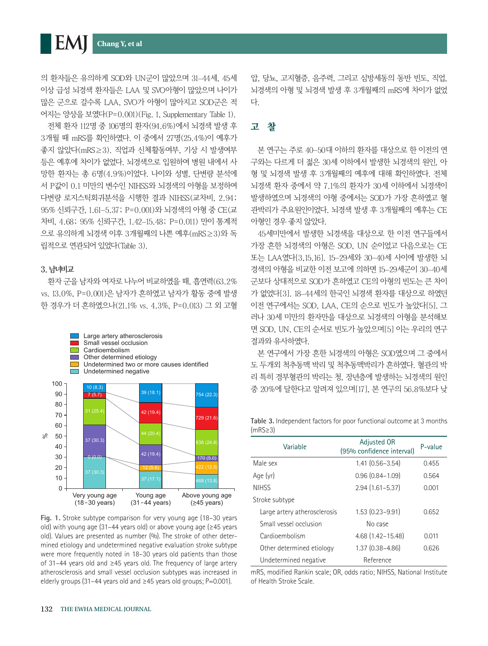**EM** 

의 환자들은 유의하게 SOD와 UN군이 많았으며 31–44세, 45세 이상 급성 뇌경색 환자들은 LAA 및 SVO아형이 많았으며 나이가 많은 군으로 갈수록 LAA, SVO가 아형이 많아지고 SOD군은 적 어지는 양상을 보였다(P=0.001)(Fig. 1, Supplementary Table 1).

전체 환자 112명 중 106명의 환자(94.6%)에서 뇌경색 발생 후 3개월 때 mRS를 확인하였다. 이 중에서 27명(25.4%)이 예후가 좋지 않았다(mRS≥3). 직업과 신체활동여부, 기상 시 발생여부 등은 예후에 차이가 없었다. 뇌경색으로 입원하여 병원 내에서 사 망한 환자는 총 6명(4.9%)이었다. 나이와 성별, 단변량 분석에 서 P값이 0.1 미만의 변수인 NIHSS와 뇌경색의 아형을 보정하여 다변량 로지스틱회귀분석을 시행한 결과 NIHSS(교차비, 2.94; 95% 신뢰구간, 1.61–5.37; P=0.001)와 뇌경색의 아형 중 CE(교 차비, 4.68; 95% 신뢰구간, 1.42–15.48; P=0.011) 만이 통계적 으로 유의하게 뇌경색 이후 3개월째의 나쁜 예후(mRS≥3)와 독 립적으로 연관되어 있었다(Table 3).

#### 3. 남녀비교

환자 군을 남자와 여자로 나누어 비교하였을 때, 흡연력(63.2% vs. 13.0%, P=0.001)은 남자가 흔하였고 남자가 활동 중에 발생 한 경우가 더 흔하였으나(21.1% vs. 4.3%, P=0.013) 그 외 고혈



**Fig. 1.** Stroke subtype comparison for very young age (18–30 years old) with young age (31–44 years old) or above young age ( $\geq$ 45 years old). Values are presented as number (%). The stroke of other determined etiology and undetermined negative evaluation stroke subtype were more frequently noted in 18–30 years old patients than those of 31–44 years old and ≥45 years old. The frequency of large artery atherosclerosis and small vessel occlusion subtypes was increased in elderly groups (31–44 years old and ≥45 years old groups; P=0.001).

압, 당뇨, 고지혈증, 음주력, 그리고 심방세동의 동반 빈도, 직업, 뇌경색의 아형 및 뇌경색 발생 후 3개월째의 mRS에 차이가 없었 다.

## 고 찰

본 연구는 주로 40–50대 이하의 환자를 대상으로 한 이전의 연 구와는 다르게 더 젊은 30세 이하에서 발생한 뇌경색의 원인, 아 형 및 뇌경색 발생 후 3개월째의 예후에 대해 확인하였다. 전체 뇌경색 환자 중에서 약 7.1%의 환자가 30세 이하에서 뇌경색이 발생하였으며 뇌경색의 아형 중에서는 SOD가 가장 흔하였고 혈 관박리가 주요원인이었다. 뇌경색 발생 후 3개월째의 예후는 CE 아형인 경우 좋지 않았다.

45세미만에서 발생한 뇌경색을 대상으로 한 이전 연구들에서 가장 흔한 뇌경색의 아형은 SOD, UN 순이었고 다음으로는 CE 또는 LAA였다[3,15,16]. 15–29세와 30–40세 사이에 발생한 뇌 경색의 아형을 비교한 이전 보고에 의하면 15–29세군이 30–40세 군보다 상대적으로 SOD가 흔하였고 CE의 아형의 빈도는 큰 차이 가 없었다[3]. 18–44세의 한국인 뇌경색 환자를 대상으로 하였던 이전 연구에서는 SOD, LAA, CE의 순으로 빈도가 높았다[5]. 그 러나 30세 미만의 환자만을 대상으로 뇌경색의 아형을 분석해보 면 SOD, UN, CE의 순서로 빈도가 높았으며[5] 이는 우리의 연구 결과와 유사하였다.

본 연구에서 가장 흔한 뇌경색의 아형은 SOD였으며 그 중에서 도 두개외 척추동맥 박리 및 척추동맥박리가 흔하였다. 혈관의 박 리 특히 경부혈관의 박리는 청, 장년층에 발생하는 뇌경색의 원인 중 20%에 달한다고 알려져 있으며[17], 본 연구의 56.8%보다 낮

**Table 3.** Independent factors for poor functional outcome at 3 months (mRS≥3)

| Variable                     | Adjusted OR<br>(95% confidence interval) | P-value |  |
|------------------------------|------------------------------------------|---------|--|
| Male sex                     | $1.41(0.56 - 3.54)$                      | 0.455   |  |
| Age (yr)                     | $0.96(0.84 - 1.09)$                      | 0.564   |  |
| <b>NIHSS</b>                 | $2.94(1.61 - 5.37)$                      | 0.001   |  |
| Stroke subtype               |                                          |         |  |
| Large artery atherosclerosis | $1.53(0.23 - 9.91)$                      | 0.652   |  |
| Small vessel occlusion       | No case                                  |         |  |
| Cardioembolism               | $4.68(1.42 - 15.48)$                     | 0.011   |  |
| Other determined etiology    | $1.37(0.38 - 4.86)$                      | 0.626   |  |
| Undetermined negative        | Reference                                |         |  |

mRS, modified Rankin scale; OR, odds ratio; NIHSS, National Institute of Health Stroke Scale.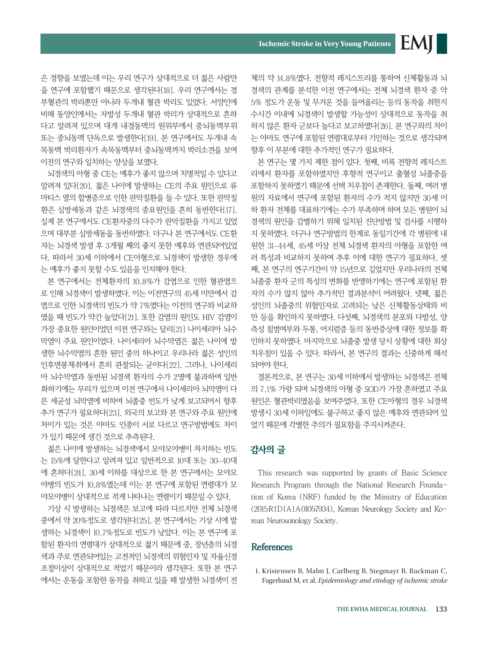은 경향을 보였는데 이는 우리 연구가 상대적으로 더 젊은 사람만 을 연구에 포함했기 때문으로 생각된다[18]. 우리 연구에서는 경 부혈관의 박리뿐만 아니라 두개내 혈관 박리도 있었다. 서양인에 비해 동양인에서는 자발성 두개내 혈관 박리가 상대적으로 흔하 다고 알려져 있으며 대개 내경동맥의 원위부에서 중뇌동맥부위 또는 중뇌동맥 단독으로 발생한다[19]. 본 연구에서도 두개내 속 목동맥 박리환자가 속목동맥부터 중뇌동맥까지 박리소견을 보여 이전의 연구와 일치하는 양상을 보였다.

뇌경색의 아형 중 CE는 예후가 좋지 않으며 치명적일 수 있다고 알려져 있다[20]. 젊은 나이에 발생하는 CE의 주요 원인으로 류 마티스 열의 합병증으로 인한 판막질환을 들 수 있다. 또한 판막질 환은 심방세동과 같은 뇌경색의 중요원인을 흔히 동반한다[17]. 실제 본 연구에서도 CE환자중의 다수가 판막질환을 가지고 있었 으며 대부분 심방세동을 동반하였다. 더구나 본 연구에서도 CE환 자는 뇌경색 발생 후 3개월 째의 좋지 못한 예후와 연관되어있었 다. 따라서 30세 이하에서 CE아형으로 뇌경색이 발생한 경우에 는 예후가 좋지 못할 수도 있음을 인지해야 한다.

본 연구에서는 전체환자의 10.8%가 감염으로 인한 혈관염으 로 인해 뇌경색이 발생하였다. 이는 이전연구의 45세 미만에서 감 염으로 인한 뇌경색의 빈도가 약 7%였다는 이전의 연구와 비교하 였을 때 빈도가 약간 높았다[21]. 또한 감염의 원인도 HIV 감염이 가장 중요한 원인이었던 이전 연구와는 달리[21] 나이세리아 뇌수 막염이 주요 원인이었다. 나이세리아 뇌수막염은 젊은 나이에 발 생한 뇌수막염의 흔한 원인 중의 하나이고 우리나라 젊은 성인의 인후면봉채취에서 흔히 관찰되는 균이다[22]. 그러나, 나이세리 아 뇌수막염과 동반된 뇌경색 환자의 수가 2명에 불과하여 일반 화하기에는 무리가 있으며 이전 연구에서 나이세리아 뇌막염이 다 른 세균성 뇌막염에 비하여 뇌졸중 빈도가 낮게 보고되어서 향후 추가 연구가 필요하다[23]. 외국의 보고와 본 연구와 주요 원인에 차이가 있는 것은 아마도 인종이 서로 다르고 연구방법에도 차이 가 있기 때문에 생긴 것으로 추측된다.

젊은 나이에 발생하는 뇌경색에서 모야모야병이 차지하는 빈도 는 15%에 달한다고 알려져 있고 일반적으로 10대 또는 30–40대 에 흔하다[24]. 30세 이하를 대상으로 한 본 연구에서는 모야모 야병의 빈도가 10.8%였는데 이는 본 연구에 포함된 연령대가 모 야모야병이 상대적으로 적게 나타나는 연령이기 때문일 수 있다.

기상 시 발생하는 뇌경색은 보고에 따라 다르지만 전체 뇌경색 중에서 약 20%정도로 생각된다[25]. 본 연구에서는 기상 시에 발 생하는 뇌경색이 10.7%정도로 빈도가 낮았다. 이는 본 연구에 포 함된 환자의 연령대가 상대적으로 젊기 때문에 중, 장년층의 뇌경 색과 주로 연관되어있는 고전적인 뇌경색의 위험인자 및 자율신경 조절이상이 상대적으로 적었기 때문이라 생각된다. 또한 본 연구 에서는 운동을 포함한 동작을 취하고 있을 때 발생한 뇌경색이 전 체의 약 14.8%였다. 전향적 레지스트리를 통하여 신체활동과 뇌 경색의 관계를 분석한 이전 연구에서는 전체 뇌경색 환자 중 약 5% 정도가 운동 및 무거운 것을 들어올리는 등의 동작을 취한지 수시간 이내에 뇌경색이 발생할 가능성이 상대적으로 동작을 취 하지 않은 환자 군보다 높다고 보고하였다[26]. 본 연구와의 차이 는 아마도 연구에 포함된 연령대로부터 기인하는 것으로 생각되며 향후 이 부분에 대한 추가적인 연구가 필요하다.

**EMI** 

본 연구는 몇 가지 제한 점이 있다. 첫째, 비록 전향적 레지스트 리에서 환자를 포함하였지만 후향적 연구이고 출혈성 뇌졸중을 포함하지 못하였기 때문에 선택 치우침이 존재한다. 둘째, 여러 병 원의 자료에서 연구에 포함된 환자의 수가 적지 않지만 30세 이 하 환자 전체를 대표하기에는 수가 부족하며 하며 모든 병원이 뇌 경색의 원인을 감별하기 위해 일치된 진단방법 및 검사를 시행하 지 못하였다. 더구나 연구방법의 한계로 동일기간에 각 병원에 내 원한 31–44세, 45세 이상 전체 뇌경색 환자의 아형을 포함한 여 러 특성과 비교하지 못하여 추후 이에 대한 연구가 필요하다. 셋 째, 본 연구의 연구기간이 약 15년으로 길었지만 우리나라의 전체 뇌졸중 환자 군의 특성의 변화를 반영하기에는 연구에 포함된 환 자의 수가 많지 않아 추가적인 결과분석이 어려웠다. 넷째, 젊은 성인의 뇌졸중의 위험인자로 고려되는 낮은 신체활동상태와 비 만 등을 확인하지 못하였다. 다섯째, 뇌경색의 분포와 다발성, 양 측성 침범여부와 두통, 어지럼증 등의 동반증상에 대한 정보를 확 인하지 못하였다. 마지막으로 뇌졸중 발생 당시 상황에 대한 회상 치우침이 있을 수 있다. 따라서, 본 연구의 결과는 신중하게 해석 되어야 한다.

결론적으로, 본 연구는 30세 이하에서 발생하는 뇌경색은 전체 의 7.1% 가량 되며 뇌경색의 아형 중 SOD가 가장 흔하였고 주요 원인은 혈관박리였음을 보여주었다. 또한 CE아형의 경우 뇌경색 발생시 30세 이하임에도 불구하고 좋지 않은 예후와 연관되어 있 었기 때문에 각별한 주의가 필요함을 주지시켜준다.

## 감사의 글

This research was supported by grants of Basic Science Research Program through the National Research Foundation of Korea (NRF) funded by the Ministry of Education (2015R1D1A1A01057934), Korean Neurology Society and Korean Neurosonology Society.

## **References**

1. Kristensen B, Malm J, Carlberg B, Stegmayr B, Backman C, Fagerlund M, et al. *Epidemiology and etiology of ischemic stroke*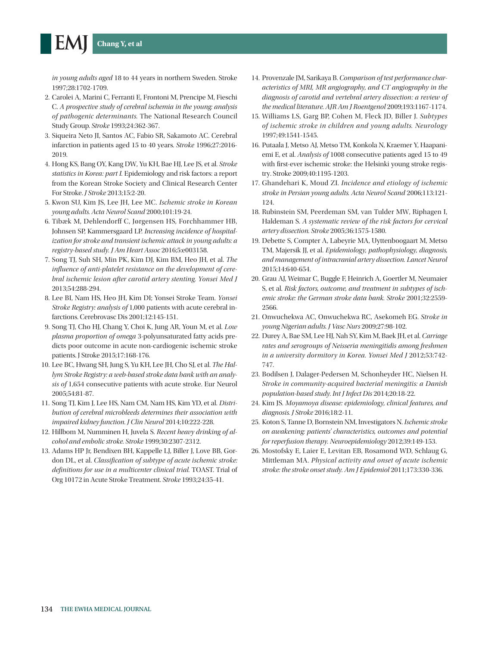*in young adults aged* 18 to 44 years in northern Sweden. Stroke 1997;28:1702-1709.

- 2. Carolei A, Marini C, Ferranti E, Frontoni M, Prencipe M, Fieschi C. *A prospective study of cerebral ischemia in the young: analysis of pathogenic determinants.* The National Research Council Study Group. *Stroke* 1993;24:362-367.
- 3. Siqueira Neto JI, Santos AC, Fabio SR, Sakamoto AC. Cerebral infarction in patients aged 15 to 40 years. *Stroke* 1996;27:2016- 2019.
- 4. Hong KS, Bang OY, Kang DW, Yu KH, Bae HJ, Lee JS, et al. *Stroke statistics in Korea: part I.* Epidemiology and risk factors: a report from the Korean Stroke Society and Clinical Research Center For Stroke. *J Stroke* 2013;15:2-20.
- 5. Kwon SU, Kim JS, Lee JH, Lee MC. *Ischemic stroke in Korean young adults. Acta Neurol Scand* 2000;101:19-24.
- 6. Tibæk M, Dehlendorff C, Jørgensen HS, Forchhammer HB, Johnsen SP, Kammersgaard LP. *Increasing incidence of hospitalization for stroke and transient ischemic attack in young adults: a registry-based study. J Am Heart Assoc* 2016;5:e003158.
- 7. Song TJ, Suh SH, Min PK, Kim DJ, Kim BM, Heo JH, et al. *The influence of anti-platelet resistance on the development of cerebral ischemic lesion after carotid artery stenting. Yonsei Med J*  2013;54:288-294.
- 8. Lee BI, Nam HS, Heo JH, Kim DI; Yonsei Stroke Team. *Yonsei Stroke Registry: analysis of* 1,000 patients with acute cerebral infarctions. Cerebrovasc Dis 2001;12:145-151.
- 9. Song TJ, Cho HJ, Chang Y, Choi K, Jung AR, Youn M, et al. *Low plasma proportion of omega* 3-polyunsaturated fatty acids predicts poor outcome in acute non-cardiogenic ischemic stroke patients. J Stroke 2015;17:168-176.
- 10. Lee BC, Hwang SH, Jung S, Yu KH, Lee JH, Cho SJ, et al. *The Hallym Stroke Registry: a web-based stroke data bank with an analysis of* 1,654 consecutive patients with acute stroke. Eur Neurol 2005;54:81-87.
- 11. Song TJ, Kim J, Lee HS, Nam CM, Nam HS, Kim YD, et al. *Distribution of cerebral microbleeds determines their association with impaired kidney function. J Clin Neurol* 2014;10:222-228.
- 12. Hillbom M, Numminen H, Juvela S. *Recent heavy drinking of alcohol and embolic stroke. Stroke* 1999;30:2307-2312.
- 13. Adams HP Jr, Bendixen BH, Kappelle LJ, Biller J, Love BB, Gordon DL, et al. *Classification of subtype of acute ischemic stroke: definitions for use in a multicenter clinical trial.* TOAST. Trial of Org 10172 in Acute Stroke Treatment. *Stroke* 1993;24:35-41.
- 14. Provenzale JM, Sarikaya B. *Comparison of test performance characteristics of MRI, MR angiography, and CT angiography in the diagnosis of carotid and vertebral artery dissection: a review of the medical literature. AJR Am J Roentgenol* 2009;193:1167-1174.
- 15. Williams LS, Garg BP, Cohen M, Fleck JD, Biller J. *Subtypes of ischemic stroke in children and young adults. Neurology*  1997;49:1541-1545.
- 16. Putaala J, Metso AJ, Metso TM, Konkola N, Kraemer Y, Haapaniemi E, et al. *Analysis of* 1008 consecutive patients aged 15 to 49 with first-ever ischemic stroke: the Helsinki young stroke registry. Stroke 2009;40:1195-1203.
- 17. Ghandehari K, Moud ZI. *Incidence and etiology of ischemic stroke in Persian young adults. Acta Neurol Scand* 2006;113:121- 124.
- 18. Rubinstein SM, Peerdeman SM, van Tulder MW, Riphagen I, Haldeman S. *A systematic review of the risk factors for cervical artery dissection. Stroke* 2005;36:1575-1580.
- 19. Debette S, Compter A, Labeyrie MA, Uyttenboogaart M, Metso TM, Majersik JJ, et al. *Epidemiology, pathophysiology, diagnosis, and management of intracranial artery dissection. Lancet Neurol*  2015;14:640-654.
- 20. Grau AJ, Weimar C, Buggle F, Heinrich A, Goertler M, Neumaier S, et al. *Risk factors, outcome, and treatment in subtypes of ischemic stroke: the German stroke data bank. Stroke* 2001;32:2559- 2566.
- 21. Onwuchekwa AC, Onwuchekwa RC, Asekomeh EG. *Stroke in young Nigerian adults. J Vasc Nurs* 2009;27:98-102.
- 22. Durey A, Bae SM, Lee HJ, Nah SY, Kim M, Baek JH, et al. *Carriage rates and serogroups of Neisseria meningitidis among freshmen in a university dormitory in Korea. Yonsei Med J* 2012;53:742-747.
- 23. Bodilsen J, Dalager-Pedersen M, Schonheyder HC, Nielsen H. *Stroke in community-acquired bacterial meningitis: a Danish population-based study. Int J Infect Dis* 2014;20:18-22.
- 24. Kim JS. *Moyamoya disease: epidemiology, clinical features, and diagnosis. J Stroke* 2016;18:2-11.
- 25. Koton S, Tanne D, Bornstein NM, Investigators N. *Ischemic stroke on awakening: patients' characteristics, outcomes and potential for reperfusion therapy. Neuroepidemiology* 2012;39:149-153.
- 26. Mostofsky E, Laier E, Levitan EB, Rosamond WD, Schlaug G, Mittleman MA. *Physical activity and onset of acute ischemic stroke: the stroke onset study. Am J Epidemiol* 2011;173:330-336.